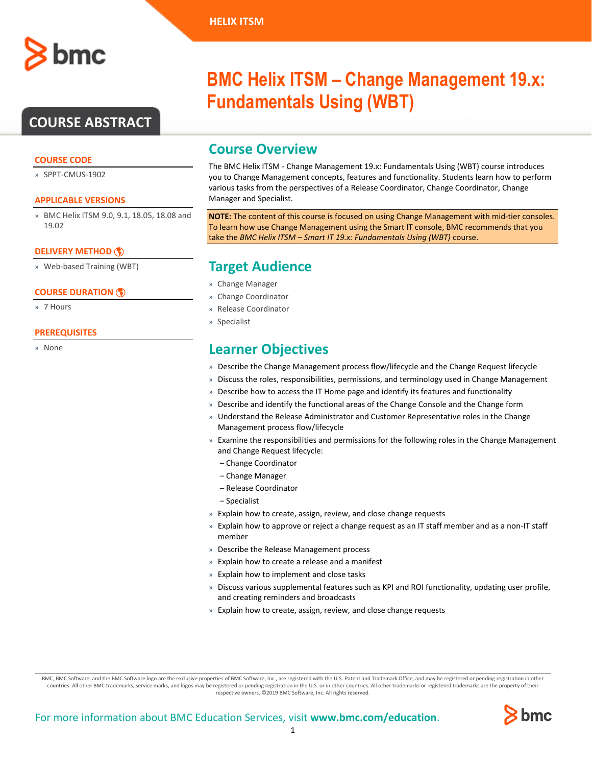# **COURSE ABSTRACT**

### **COURSE CODE**

» SPPT-CMUS-1902

#### **APPLICABLE VERSIONS**

» BMC Helix ITSM 9.0, 9.1, 18.05, 18.08 and 19.02

### **[DELIVERY METHOD](http://www.bmc.com/education/modality.html)**

» Web-based Training (WBT)

#### **[COURSE DURATION](http://www.bmc.com/education/learning-paths/education-filters-learning-paths.html)**

» 7 Hours

#### **PREREQUISITES**

» None

# **BMC Helix ITSM – Change Management 19.x: Fundamentals Using (WBT)**

## **Course Overview**

The BMC Helix ITSM - Change Management 19.x: Fundamentals Using (WBT) course introduces you to Change Management concepts, features and functionality. Students learn how to perform various tasks from the perspectives of a Release Coordinator, Change Coordinator, Change Manager and Specialist.

**NOTE:** The content of this course is focused on using Change Management with mid-tier consoles. To learn how use Change Management using the Smart IT console, BMC recommends that you take the *BMC Helix ITSM – Smart IT 19.x: Fundamentals Using (WBT)* course.

# **Target Audience**

- » Change Manager
- » Change Coordinator
- » Release Coordinator
- » Specialist

# **Learner Objectives**

- » Describe the Change Management process flow/lifecycle and the Change Request lifecycle
- » Discuss the roles, responsibilities, permissions, and terminology used in Change Management
- » Describe how to access the IT Home page and identify its features and functionality
- » Describe and identify the functional areas of the Change Console and the Change form
- » Understand the Release Administrator and Customer Representative roles in the Change Management process flow/lifecycle
- » Examine the responsibilities and permissions for the following roles in the Change Management and Change Request lifecycle:
	- Change Coordinator
	- Change Manager
	- Release Coordinator
	- Specialist
- » Explain how to create, assign, review, and close change requests
- » Explain how to approve or reject a change request as an IT staff member and as a non-IT staff member
- » Describe the Release Management process
- » Explain how to create a release and a manifest
- » Explain how to implement and close tasks
- » Discuss various supplemental features such as KPI and ROI functionality, updating user profile, and creating reminders and broadcasts
- » Explain how to create, assign, review, and close change requests

BMC, BMC Software, and the BMC Software logo are the exclusive properties of BMC Software, Inc., are registered with the U.S. Patent and Trademark Office, and may be registered or pending registration in other countries. All other BMC trademarks, service marks, and logos may be registered or pending registration in the U.S. or in other countries. All other trademarks or registered trademarks are the property of their respective owners. ©2019 BMC Software, Inc. All rights reserved.